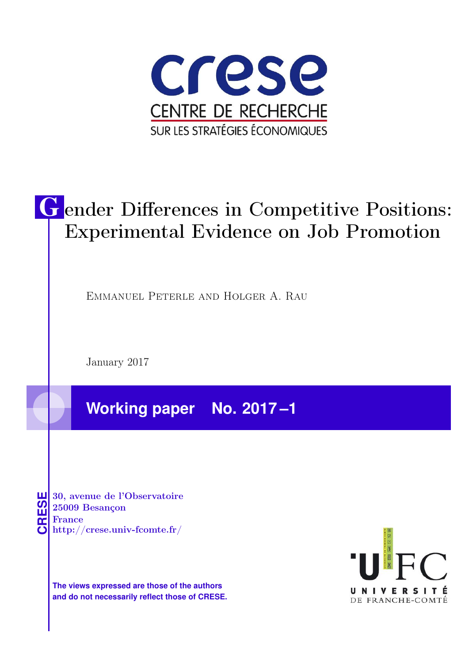

# Gender Differences in Competitive Positions: Experimental Evidence on Job Promotion

Emmanuel Peterle and Holger A. Rau

January 2017

**Working paper No. 2017 –1**

**CRESE 30, avenue de l'Observatoire<br>
25009 Besançon<br>
France<br>
<b>CRESE de l'Observatoire**<br>
Http://crese.univ-fcomte.fr/ 25009 Besançon France

**The views expressed are those of the authors and do not necessarily reflect those of CRESE.**

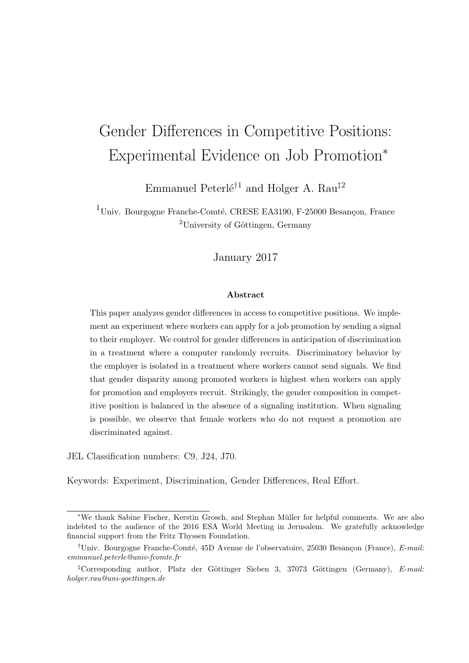## Gender Differences in Competitive Positions: Experimental Evidence on Job Promotion<sup>∗</sup>

Emmanuel Peterlé<sup>†1</sup> and Holger A. Rau<sup>‡2</sup>

 $1$ Univ. Bourgogne Franche-Comté, CRESE EA3190, F-25000 Besancon, France  $2$ University of Göttingen, Germany

#### January 2017

#### Abstract

This paper analyzes gender differences in access to competitive positions. We implement an experiment where workers can apply for a job promotion by sending a signal to their employer. We control for gender differences in anticipation of discrimination in a treatment where a computer randomly recruits. Discriminatory behavior by the employer is isolated in a treatment where workers cannot send signals. We find that gender disparity among promoted workers is highest when workers can apply for promotion and employers recruit. Strikingly, the gender composition in competitive position is balanced in the absence of a signaling institution. When signaling is possible, we observe that female workers who do not request a promotion are discriminated against.

JEL Classification numbers: C9, J24, J70.

Keywords: Experiment, Discrimination, Gender Differences, Real Effort.

<sup>∗</sup>We thank Sabine Fischer, Kerstin Grosch, and Stephan M¨uller for helpful comments. We are also indebted to the audience of the 2016 ESA World Meeting in Jerusalem. We gratefully acknowledge financial support from the Fritz Thyssen Foundation.

<sup>&</sup>lt;sup>†</sup>Univ. Bourgogne Franche-Comté, 45D Avenue de l'observatoire, 25030 Besançon (France), E-mail: emmanuel.peterle@univ-fcomte.fr

<sup>&</sup>lt;sup>‡</sup>Corresponding author, Platz der Göttinger Sieben 3, 37073 Göttingen (Germany), E-mail: holger.rau@uni-goettingen.de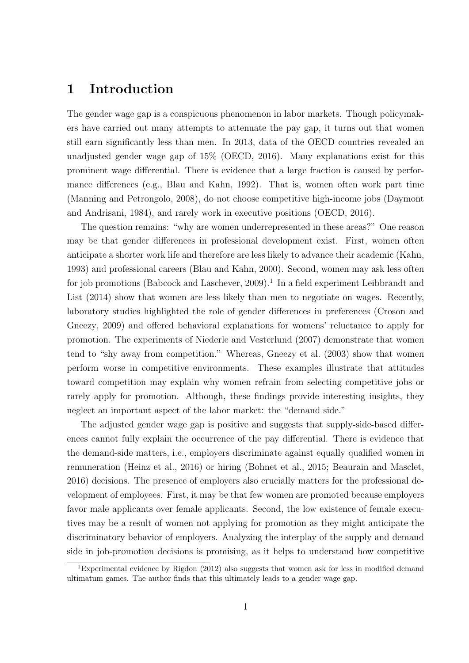## 1 Introduction

The gender wage gap is a conspicuous phenomenon in labor markets. Though policymakers have carried out many attempts to attenuate the pay gap, it turns out that women still earn significantly less than men. In 2013, data of the OECD countries revealed an unadjusted gender wage gap of 15% (OECD, 2016). Many explanations exist for this prominent wage differential. There is evidence that a large fraction is caused by performance differences (e.g., Blau and Kahn, 1992). That is, women often work part time (Manning and Petrongolo, 2008), do not choose competitive high-income jobs (Daymont and Andrisani, 1984), and rarely work in executive positions (OECD, 2016).

The question remains: "why are women underrepresented in these areas?" One reason may be that gender differences in professional development exist. First, women often anticipate a shorter work life and therefore are less likely to advance their academic (Kahn, 1993) and professional careers (Blau and Kahn, 2000). Second, women may ask less often for job promotions (Babcock and Laschever, 2009).<sup>1</sup> In a field experiment Leibbrandt and List (2014) show that women are less likely than men to negotiate on wages. Recently, laboratory studies highlighted the role of gender differences in preferences (Croson and Gneezy, 2009) and offered behavioral explanations for womens' reluctance to apply for promotion. The experiments of Niederle and Vesterlund (2007) demonstrate that women tend to "shy away from competition." Whereas, Gneezy et al. (2003) show that women perform worse in competitive environments. These examples illustrate that attitudes toward competition may explain why women refrain from selecting competitive jobs or rarely apply for promotion. Although, these findings provide interesting insights, they neglect an important aspect of the labor market: the "demand side."

The adjusted gender wage gap is positive and suggests that supply-side-based differences cannot fully explain the occurrence of the pay differential. There is evidence that the demand-side matters, i.e., employers discriminate against equally qualified women in remuneration (Heinz et al., 2016) or hiring (Bohnet et al., 2015; Beaurain and Masclet, 2016) decisions. The presence of employers also crucially matters for the professional development of employees. First, it may be that few women are promoted because employers favor male applicants over female applicants. Second, the low existence of female executives may be a result of women not applying for promotion as they might anticipate the discriminatory behavior of employers. Analyzing the interplay of the supply and demand side in job-promotion decisions is promising, as it helps to understand how competitive

<sup>&</sup>lt;sup>1</sup>Experimental evidence by Rigdon (2012) also suggests that women ask for less in modified demand ultimatum games. The author finds that this ultimately leads to a gender wage gap.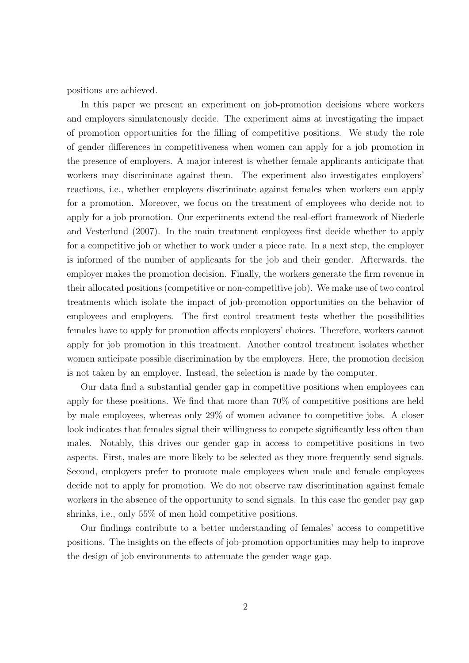positions are achieved.

In this paper we present an experiment on job-promotion decisions where workers and employers simulatenously decide. The experiment aims at investigating the impact of promotion opportunities for the filling of competitive positions. We study the role of gender differences in competitiveness when women can apply for a job promotion in the presence of employers. A major interest is whether female applicants anticipate that workers may discriminate against them. The experiment also investigates employers' reactions, i.e., whether employers discriminate against females when workers can apply for a promotion. Moreover, we focus on the treatment of employees who decide not to apply for a job promotion. Our experiments extend the real-effort framework of Niederle and Vesterlund (2007). In the main treatment employees first decide whether to apply for a competitive job or whether to work under a piece rate. In a next step, the employer is informed of the number of applicants for the job and their gender. Afterwards, the employer makes the promotion decision. Finally, the workers generate the firm revenue in their allocated positions (competitive or non-competitive job). We make use of two control treatments which isolate the impact of job-promotion opportunities on the behavior of employees and employers. The first control treatment tests whether the possibilities females have to apply for promotion affects employers' choices. Therefore, workers cannot apply for job promotion in this treatment. Another control treatment isolates whether women anticipate possible discrimination by the employers. Here, the promotion decision is not taken by an employer. Instead, the selection is made by the computer.

Our data find a substantial gender gap in competitive positions when employees can apply for these positions. We find that more than 70% of competitive positions are held by male employees, whereas only 29% of women advance to competitive jobs. A closer look indicates that females signal their willingness to compete significantly less often than males. Notably, this drives our gender gap in access to competitive positions in two aspects. First, males are more likely to be selected as they more frequently send signals. Second, employers prefer to promote male employees when male and female employees decide not to apply for promotion. We do not observe raw discrimination against female workers in the absence of the opportunity to send signals. In this case the gender pay gap shrinks, i.e., only 55% of men hold competitive positions.

Our findings contribute to a better understanding of females' access to competitive positions. The insights on the effects of job-promotion opportunities may help to improve the design of job environments to attenuate the gender wage gap.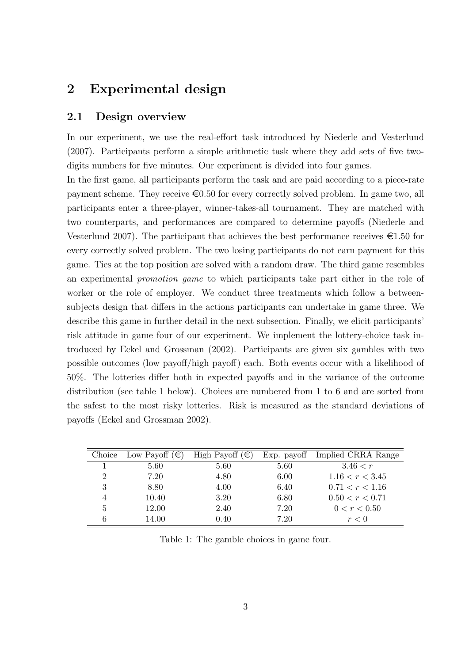## 2 Experimental design

#### 2.1 Design overview

In our experiment, we use the real-effort task introduced by Niederle and Vesterlund (2007). Participants perform a simple arithmetic task where they add sets of five twodigits numbers for five minutes. Our experiment is divided into four games.

In the first game, all participants perform the task and are paid according to a piece-rate payment scheme. They receive  $\epsilon 0.50$  for every correctly solved problem. In game two, all participants enter a three-player, winner-takes-all tournament. They are matched with two counterparts, and performances are compared to determine payoffs (Niederle and Vesterlund 2007). The participant that achieves the best performance receives  $\epsilon$ 1.50 for every correctly solved problem. The two losing participants do not earn payment for this game. Ties at the top position are solved with a random draw. The third game resembles an experimental promotion game to which participants take part either in the role of worker or the role of employer. We conduct three treatments which follow a betweensubjects design that differs in the actions participants can undertake in game three. We describe this game in further detail in the next subsection. Finally, we elicit participants' risk attitude in game four of our experiment. We implement the lottery-choice task introduced by Eckel and Grossman (2002). Participants are given six gambles with two possible outcomes (low payoff/high payoff) each. Both events occur with a likelihood of 50%. The lotteries differ both in expected payoffs and in the variance of the outcome distribution (see table 1 below). Choices are numbered from 1 to 6 and are sorted from the safest to the most risky lotteries. Risk is measured as the standard deviations of payoffs (Eckel and Grossman 2002).

| Choice         | Low Payoff $(\epsilon)$ | High Payoff $(\epsilon)$ |      | Exp. payoff Implied CRRA Range |
|----------------|-------------------------|--------------------------|------|--------------------------------|
|                | 5.60                    | 5.60                     | 5.60 | 3.46 < r                       |
| 2              | 7.20                    | 4.80                     | 6.00 | 1.16 < r < 3.45                |
| 3              | 8.80                    | 4.00                     | 6.40 | 0.71 < r < 1.16                |
| $\overline{4}$ | 10.40                   | 3.20                     | 6.80 | 0.50 < r < 0.71                |
| 5              | 12.00                   | 2.40                     | 7.20 | 0 < r < 0.50                   |
|                | 14.00                   | 0.40                     | 7.20 | r<0                            |

Table 1: The gamble choices in game four.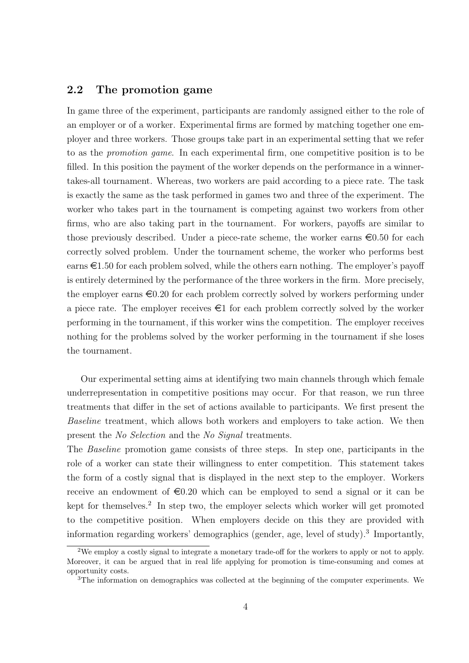#### 2.2 The promotion game

In game three of the experiment, participants are randomly assigned either to the role of an employer or of a worker. Experimental firms are formed by matching together one employer and three workers. Those groups take part in an experimental setting that we refer to as the promotion game. In each experimental firm, one competitive position is to be filled. In this position the payment of the worker depends on the performance in a winnertakes-all tournament. Whereas, two workers are paid according to a piece rate. The task is exactly the same as the task performed in games two and three of the experiment. The worker who takes part in the tournament is competing against two workers from other firms, who are also taking part in the tournament. For workers, payoffs are similar to those previously described. Under a piece-rate scheme, the worker earns  $\epsilon 0.50$  for each correctly solved problem. Under the tournament scheme, the worker who performs best earns  $\epsilon$ 1.50 for each problem solved, while the others earn nothing. The employer's payoff is entirely determined by the performance of the three workers in the firm. More precisely, the employer earns  $\epsilon 0.20$  for each problem correctly solved by workers performing under a piece rate. The employer receives  $\epsilon$ 1 for each problem correctly solved by the worker performing in the tournament, if this worker wins the competition. The employer receives nothing for the problems solved by the worker performing in the tournament if she loses the tournament.

Our experimental setting aims at identifying two main channels through which female underrepresentation in competitive positions may occur. For that reason, we run three treatments that differ in the set of actions available to participants. We first present the Baseline treatment, which allows both workers and employers to take action. We then present the No Selection and the No Signal treatments.

The Baseline promotion game consists of three steps. In step one, participants in the role of a worker can state their willingness to enter competition. This statement takes the form of a costly signal that is displayed in the next step to the employer. Workers receive an endowment of  $\epsilon 0.20$  which can be employed to send a signal or it can be kept for themselves.<sup>2</sup> In step two, the employer selects which worker will get promoted to the competitive position. When employers decide on this they are provided with information regarding workers' demographics (gender, age, level of study).<sup>3</sup> Importantly,

<sup>2</sup>We employ a costly signal to integrate a monetary trade-off for the workers to apply or not to apply. Moreover, it can be argued that in real life applying for promotion is time-consuming and comes at opportunity costs.

<sup>&</sup>lt;sup>3</sup>The information on demographics was collected at the beginning of the computer experiments. We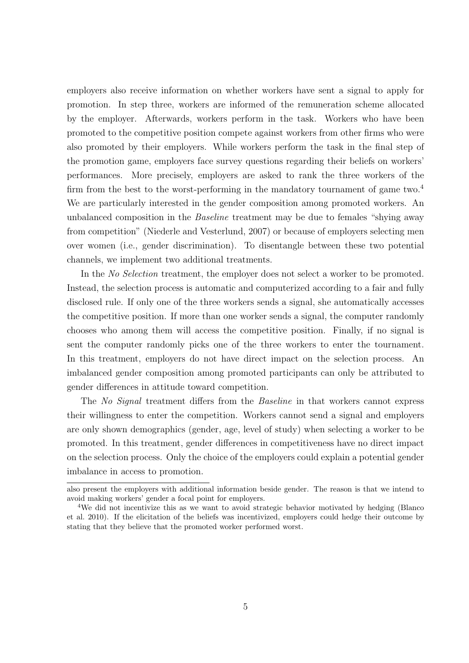employers also receive information on whether workers have sent a signal to apply for promotion. In step three, workers are informed of the remuneration scheme allocated by the employer. Afterwards, workers perform in the task. Workers who have been promoted to the competitive position compete against workers from other firms who were also promoted by their employers. While workers perform the task in the final step of the promotion game, employers face survey questions regarding their beliefs on workers' performances. More precisely, employers are asked to rank the three workers of the firm from the best to the worst-performing in the mandatory tournament of game two.<sup>4</sup> We are particularly interested in the gender composition among promoted workers. An unbalanced composition in the *Baseline* treatment may be due to females "shying away from competition" (Niederle and Vesterlund, 2007) or because of employers selecting men over women (i.e., gender discrimination). To disentangle between these two potential channels, we implement two additional treatments.

In the No Selection treatment, the employer does not select a worker to be promoted. Instead, the selection process is automatic and computerized according to a fair and fully disclosed rule. If only one of the three workers sends a signal, she automatically accesses the competitive position. If more than one worker sends a signal, the computer randomly chooses who among them will access the competitive position. Finally, if no signal is sent the computer randomly picks one of the three workers to enter the tournament. In this treatment, employers do not have direct impact on the selection process. An imbalanced gender composition among promoted participants can only be attributed to gender differences in attitude toward competition.

The No Signal treatment differs from the Baseline in that workers cannot express their willingness to enter the competition. Workers cannot send a signal and employers are only shown demographics (gender, age, level of study) when selecting a worker to be promoted. In this treatment, gender differences in competitiveness have no direct impact on the selection process. Only the choice of the employers could explain a potential gender imbalance in access to promotion.

also present the employers with additional information beside gender. The reason is that we intend to avoid making workers' gender a focal point for employers.

<sup>&</sup>lt;sup>4</sup>We did not incentivize this as we want to avoid strategic behavior motivated by hedging (Blanco) et al. 2010). If the elicitation of the beliefs was incentivized, employers could hedge their outcome by stating that they believe that the promoted worker performed worst.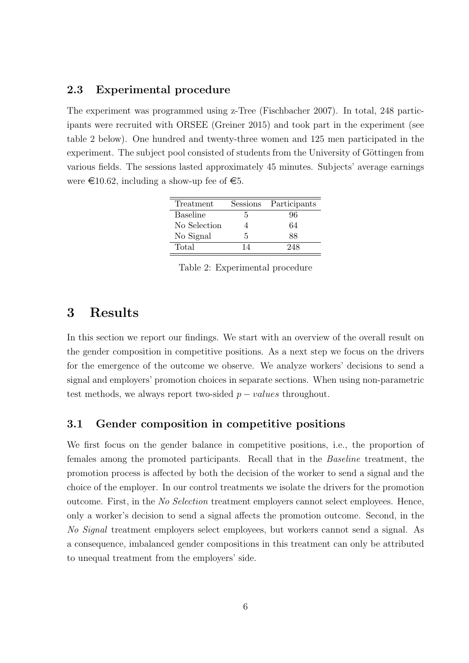#### 2.3 Experimental procedure

The experiment was programmed using z-Tree (Fischbacher 2007). In total, 248 participants were recruited with ORSEE (Greiner 2015) and took part in the experiment (see table 2 below). One hundred and twenty-three women and 125 men participated in the experiment. The subject pool consisted of students from the University of Göttingen from various fields. The sessions lasted approximately 45 minutes. Subjects' average earnings were  $\epsilon$ 10.62, including a show-up fee of  $\epsilon$ 5.

| Treatment       |    | Sessions Participants |
|-----------------|----|-----------------------|
| <b>Baseline</b> | 5  | 96                    |
| No Selection    |    | 64                    |
| No Signal       | h. | 88                    |
| Total           | 14 | 248                   |

Table 2: Experimental procedure

### 3 Results

In this section we report our findings. We start with an overview of the overall result on the gender composition in competitive positions. As a next step we focus on the drivers for the emergence of the outcome we observe. We analyze workers' decisions to send a signal and employers' promotion choices in separate sections. When using non-parametric test methods, we always report two-sided  $p - values$  throughout.

#### 3.1 Gender composition in competitive positions

We first focus on the gender balance in competitive positions, i.e., the proportion of females among the promoted participants. Recall that in the Baseline treatment, the promotion process is affected by both the decision of the worker to send a signal and the choice of the employer. In our control treatments we isolate the drivers for the promotion outcome. First, in the No Selection treatment employers cannot select employees. Hence, only a worker's decision to send a signal affects the promotion outcome. Second, in the No Signal treatment employers select employees, but workers cannot send a signal. As a consequence, imbalanced gender compositions in this treatment can only be attributed to unequal treatment from the employers' side.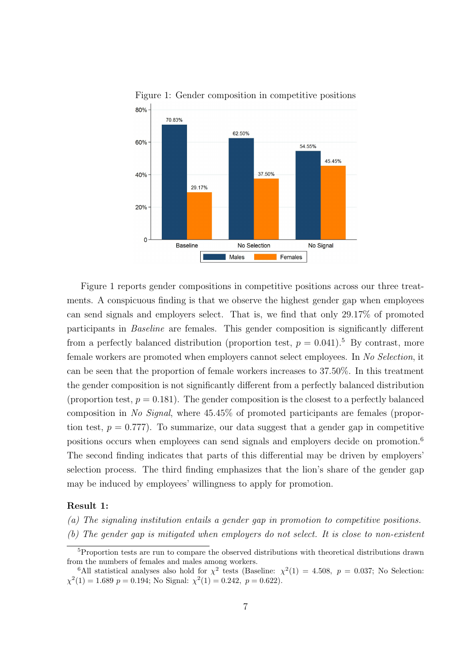

Figure 1: Gender composition in competitive positions

Figure 1 reports gender compositions in competitive positions across our three treatments. A conspicuous finding is that we observe the highest gender gap when employees can send signals and employers select. That is, we find that only 29.17% of promoted participants in Baseline are females. This gender composition is significantly different from a perfectly balanced distribution (proportion test,  $p = 0.041$ ).<sup>5</sup> By contrast, more female workers are promoted when employers cannot select employees. In No Selection, it can be seen that the proportion of female workers increases to 37.50%. In this treatment the gender composition is not significantly different from a perfectly balanced distribution (proportion test,  $p = 0.181$ ). The gender composition is the closest to a perfectly balanced composition in No Signal, where 45.45% of promoted participants are females (proportion test,  $p = 0.777$ . To summarize, our data suggest that a gender gap in competitive positions occurs when employees can send signals and employers decide on promotion.<sup>6</sup> The second finding indicates that parts of this differential may be driven by employers' selection process. The third finding emphasizes that the lion's share of the gender gap may be induced by employees' willingness to apply for promotion.

#### Result 1:

(a) The signaling institution entails a gender gap in promotion to competitive positions.

(b) The gender gap is mitigated when employers do not select. It is close to non-existent

<sup>5</sup>Proportion tests are run to compare the observed distributions with theoretical distributions drawn from the numbers of females and males among workers.

<sup>&</sup>lt;sup>6</sup>All statistical analyses also hold for  $\chi^2$  tests (Baseline:  $\chi^2(1) = 4.508$ ,  $p = 0.037$ ; No Selection:  $\chi^2(1) = 1.689 \ p = 0.194;$  No Signal:  $\chi^2(1) = 0.242, \ p = 0.622$ .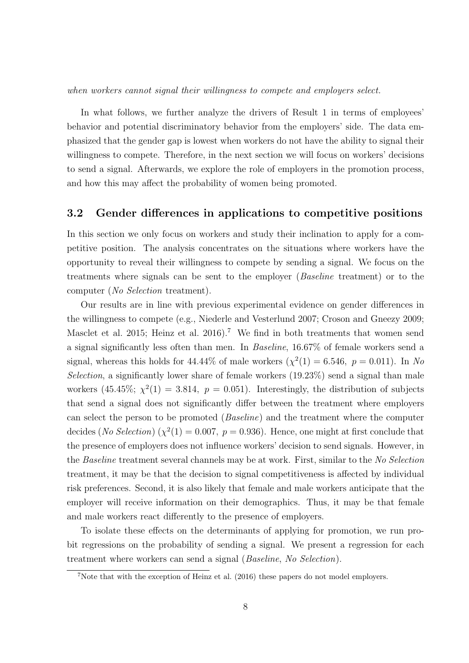when workers cannot signal their willingness to compete and employers select.

In what follows, we further analyze the drivers of Result 1 in terms of employees' behavior and potential discriminatory behavior from the employers' side. The data emphasized that the gender gap is lowest when workers do not have the ability to signal their willingness to compete. Therefore, in the next section we will focus on workers' decisions to send a signal. Afterwards, we explore the role of employers in the promotion process, and how this may affect the probability of women being promoted.

#### 3.2 Gender differences in applications to competitive positions

In this section we only focus on workers and study their inclination to apply for a competitive position. The analysis concentrates on the situations where workers have the opportunity to reveal their willingness to compete by sending a signal. We focus on the treatments where signals can be sent to the employer (Baseline treatment) or to the computer (No Selection treatment).

Our results are in line with previous experimental evidence on gender differences in the willingness to compete (e.g., Niederle and Vesterlund 2007; Croson and Gneezy 2009; Masclet et al. 2015; Heinz et al. 2016).<sup>7</sup> We find in both treatments that women send a signal significantly less often than men. In Baseline, 16.67% of female workers send a signal, whereas this holds for  $44.44\%$  of male workers  $(\chi^2(1) = 6.546, p = 0.011)$ . In No Selection, a significantly lower share of female workers  $(19.23\%)$  send a signal than male workers (45.45%;  $\chi^2(1) = 3.814$ ,  $p = 0.051$ ). Interestingly, the distribution of subjects that send a signal does not significantly differ between the treatment where employers can select the person to be promoted (Baseline) and the treatment where the computer decides (*No Selection*) ( $\chi^2(1) = 0.007$ ,  $p = 0.936$ ). Hence, one might at first conclude that the presence of employers does not influence workers' decision to send signals. However, in the Baseline treatment several channels may be at work. First, similar to the No Selection treatment, it may be that the decision to signal competitiveness is affected by individual risk preferences. Second, it is also likely that female and male workers anticipate that the employer will receive information on their demographics. Thus, it may be that female and male workers react differently to the presence of employers.

To isolate these effects on the determinants of applying for promotion, we run probit regressions on the probability of sending a signal. We present a regression for each treatment where workers can send a signal (Baseline, No Selection).

<sup>7</sup>Note that with the exception of Heinz et al. (2016) these papers do not model employers.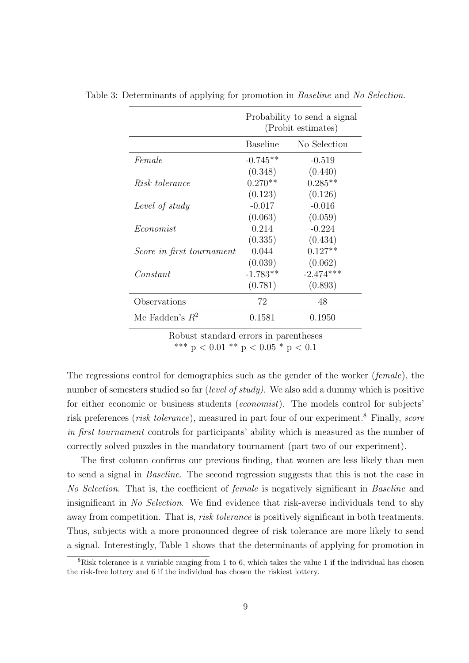|                           | Probability to send a signal<br>(Probit estimates) |              |  |
|---------------------------|----------------------------------------------------|--------------|--|
|                           | Baseline                                           | No Selection |  |
| Female                    | $-0.745**$                                         | $-0.519$     |  |
|                           | (0.348)                                            | (0.440)      |  |
| Risk tolerance            | $0.270**$                                          | $0.285**$    |  |
|                           | (0.123)                                            | (0.126)      |  |
| Level of study            | $-0.017$                                           | $-0.016$     |  |
|                           | (0.063)                                            | (0.059)      |  |
| Economist                 | 0.214                                              | $-0.224$     |  |
|                           | (0.335)                                            | (0.434)      |  |
| Score in first tournament | 0.044                                              | $0.127**$    |  |
|                           | (0.039)                                            | (0.062)      |  |
| Constant                  | $-1.783**$                                         | $-2.474***$  |  |
|                           | (0.781)                                            | (0.893)      |  |
| Observations              | 72                                                 | 48           |  |
| Mc Fadden's $R^2$         | 0.1581                                             | 0.1950       |  |

Table 3: Determinants of applying for promotion in Baseline and No Selection.

Robust standard errors in parentheses \*\*\* p < 0.01 \*\* p < 0.05 \* p < 0.1

The regressions control for demographics such as the gender of the worker (female), the number of semesters studied so far *(level of study)*. We also add a dummy which is positive for either economic or business students (economist). The models control for subjects' risk preferences (risk tolerance), measured in part four of our experiment.<sup>8</sup> Finally, score in first tournament controls for participants' ability which is measured as the number of correctly solved puzzles in the mandatory tournament (part two of our experiment).

The first column confirms our previous finding, that women are less likely than men to send a signal in Baseline. The second regression suggests that this is not the case in No Selection. That is, the coefficient of female is negatively significant in Baseline and insignificant in No Selection. We find evidence that risk-averse individuals tend to shy away from competition. That is, *risk tolerance* is positively significant in both treatments. Thus, subjects with a more pronounced degree of risk tolerance are more likely to send a signal. Interestingly, Table 1 shows that the determinants of applying for promotion in

 ${}^{8}$ Risk tolerance is a variable ranging from 1 to 6, which takes the value 1 if the individual has chosen the risk-free lottery and 6 if the individual has chosen the riskiest lottery.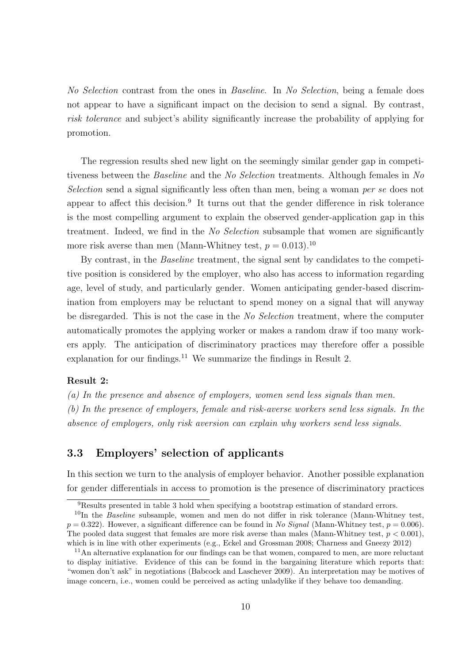No Selection contrast from the ones in Baseline. In No Selection, being a female does not appear to have a significant impact on the decision to send a signal. By contrast, risk tolerance and subject's ability significantly increase the probability of applying for promotion.

The regression results shed new light on the seemingly similar gender gap in competitiveness between the Baseline and the No Selection treatments. Although females in No Selection send a signal significantly less often than men, being a woman per se does not appear to affect this decision.<sup>9</sup> It turns out that the gender difference in risk tolerance is the most compelling argument to explain the observed gender-application gap in this treatment. Indeed, we find in the No Selection subsample that women are significantly more risk averse than men (Mann-Whitney test,  $p = 0.013$ ).<sup>10</sup>

By contrast, in the Baseline treatment, the signal sent by candidates to the competitive position is considered by the employer, who also has access to information regarding age, level of study, and particularly gender. Women anticipating gender-based discrimination from employers may be reluctant to spend money on a signal that will anyway be disregarded. This is not the case in the No Selection treatment, where the computer automatically promotes the applying worker or makes a random draw if too many workers apply. The anticipation of discriminatory practices may therefore offer a possible explanation for our findings.<sup>11</sup> We summarize the findings in Result 2.

#### Result 2:

(a) In the presence and absence of employers, women send less signals than men. (b) In the presence of employers, female and risk-averse workers send less signals. In the absence of employers, only risk aversion can explain why workers send less signals.

#### 3.3 Employers' selection of applicants

In this section we turn to the analysis of employer behavior. Another possible explanation for gender differentials in access to promotion is the presence of discriminatory practices

<sup>9</sup>Results presented in table 3 hold when specifying a bootstrap estimation of standard errors.

 $10$ In the *Baseline* subsample, women and men do not differ in risk tolerance (Mann-Whitney test,  $p = 0.322$ . However, a significant difference can be found in No Signal (Mann-Whitney test,  $p = 0.006$ ). The pooled data suggest that females are more risk averse than males (Mann-Whitney test,  $p < 0.001$ ), which is in line with other experiments (e.g., Eckel and Grossman 2008; Charness and Gneezy 2012)

 $11$ An alternative explanation for our findings can be that women, compared to men, are more reluctant to display initiative. Evidence of this can be found in the bargaining literature which reports that: "women don't ask" in negotiations (Babcock and Laschever 2009). An interpretation may be motives of image concern, i.e., women could be perceived as acting unladylike if they behave too demanding.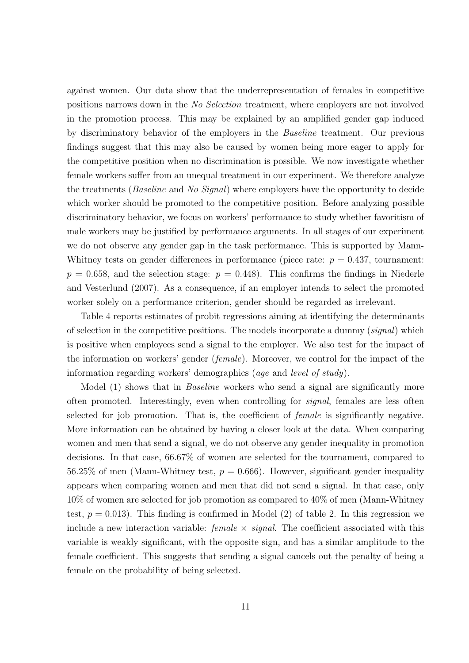against women. Our data show that the underrepresentation of females in competitive positions narrows down in the No Selection treatment, where employers are not involved in the promotion process. This may be explained by an amplified gender gap induced by discriminatory behavior of the employers in the Baseline treatment. Our previous findings suggest that this may also be caused by women being more eager to apply for the competitive position when no discrimination is possible. We now investigate whether female workers suffer from an unequal treatment in our experiment. We therefore analyze the treatments (*Baseline* and *No Signal*) where employers have the opportunity to decide which worker should be promoted to the competitive position. Before analyzing possible discriminatory behavior, we focus on workers' performance to study whether favoritism of male workers may be justified by performance arguments. In all stages of our experiment we do not observe any gender gap in the task performance. This is supported by Mann-Whitney tests on gender differences in performance (piece rate:  $p = 0.437$ , tournament:  $p = 0.658$ , and the selection stage:  $p = 0.448$ ). This confirms the findings in Niederle and Vesterlund (2007). As a consequence, if an employer intends to select the promoted worker solely on a performance criterion, gender should be regarded as irrelevant.

Table 4 reports estimates of probit regressions aiming at identifying the determinants of selection in the competitive positions. The models incorporate a dummy (signal) which is positive when employees send a signal to the employer. We also test for the impact of the information on workers' gender (female). Moreover, we control for the impact of the information regarding workers' demographics (age and level of study).

Model (1) shows that in *Baseline* workers who send a signal are significantly more often promoted. Interestingly, even when controlling for signal, females are less often selected for job promotion. That is, the coefficient of female is significantly negative. More information can be obtained by having a closer look at the data. When comparing women and men that send a signal, we do not observe any gender inequality in promotion decisions. In that case, 66.67% of women are selected for the tournament, compared to 56.25% of men (Mann-Whitney test,  $p = 0.666$ ). However, significant gender inequality appears when comparing women and men that did not send a signal. In that case, only 10% of women are selected for job promotion as compared to 40% of men (Mann-Whitney test,  $p = 0.013$ ). This finding is confirmed in Model (2) of table 2. In this regression we include a new interaction variable:  $female \times signal$ . The coefficient associated with this variable is weakly significant, with the opposite sign, and has a similar amplitude to the female coefficient. This suggests that sending a signal cancels out the penalty of being a female on the probability of being selected.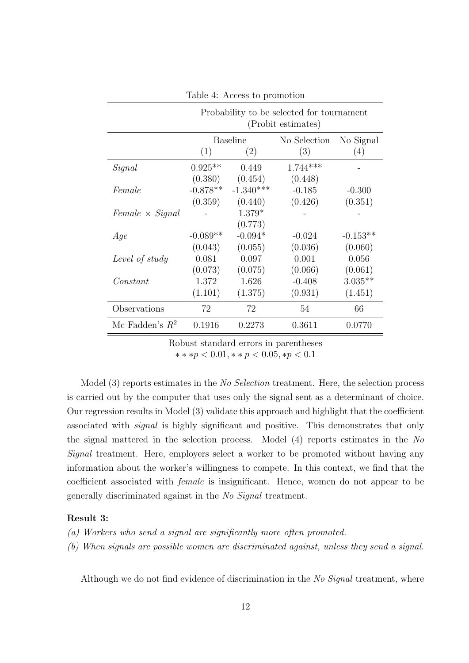|                        | Probability to be selected for tournament<br>(Probit estimates) |             |              |            |  |
|------------------------|-----------------------------------------------------------------|-------------|--------------|------------|--|
|                        | <b>Baseline</b>                                                 |             | No Selection | No Signal  |  |
|                        | (1)                                                             | (2)         | (3)          | (4)        |  |
| Signal                 | $0.925**$                                                       | 0.449       | $1.744***$   |            |  |
|                        | (0.380)                                                         | (0.454)     | (0.448)      |            |  |
| Female                 | $-0.878**$                                                      | $-1.340***$ | $-0.185$     | $-0.300$   |  |
|                        | (0.359)                                                         | (0.440)     | (0.426)      | (0.351)    |  |
| $Female \times Signal$ |                                                                 | $1.379*$    |              |            |  |
|                        |                                                                 | (0.773)     |              |            |  |
| Age                    | $-0.089**$                                                      | $-0.094*$   | $-0.024$     | $-0.153**$ |  |
|                        | (0.043)                                                         | (0.055)     | (0.036)      | (0.060)    |  |
| Level of study         | 0.081                                                           | 0.097       | 0.001        | 0.056      |  |
|                        | (0.073)                                                         | (0.075)     | (0.066)      | (0.061)    |  |
| Constant               | 1.372                                                           | 1.626       | $-0.408$     | $3.035**$  |  |
|                        | (1.101)                                                         | (1.375)     | (0.931)      | (1.451)    |  |
| Observations           | 72                                                              | 72          | 54           | 66         |  |
| Mc Fadden's $R^2$      | 0.1916                                                          | 0.2273      | 0.3611       | 0.0770     |  |

Table 4: Access to promotion

Robust standard errors in parentheses

 $***p<0.01,***p<0.05,***1$ 

Model (3) reports estimates in the No Selection treatment. Here, the selection process is carried out by the computer that uses only the signal sent as a determinant of choice. Our regression results in Model (3) validate this approach and highlight that the coefficient associated with signal is highly significant and positive. This demonstrates that only the signal mattered in the selection process. Model  $(4)$  reports estimates in the No Signal treatment. Here, employers select a worker to be promoted without having any information about the worker's willingness to compete. In this context, we find that the coefficient associated with female is insignificant. Hence, women do not appear to be generally discriminated against in the No Signal treatment.

#### Result 3:

- (a) Workers who send a signal are significantly more often promoted.
- (b) When signals are possible women are discriminated against, unless they send a signal.

Although we do not find evidence of discrimination in the No Signal treatment, where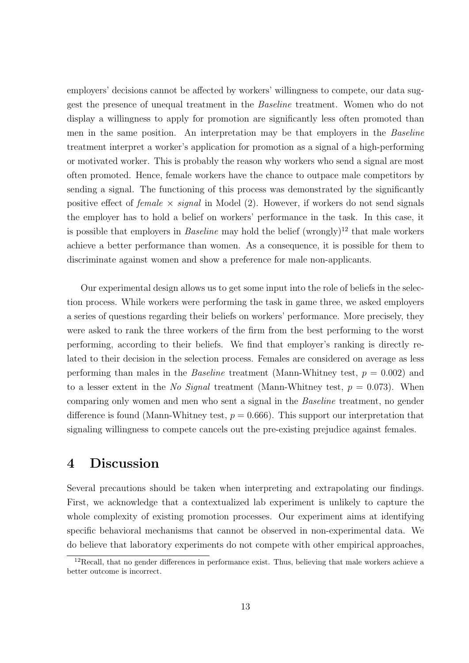employers' decisions cannot be affected by workers' willingness to compete, our data suggest the presence of unequal treatment in the Baseline treatment. Women who do not display a willingness to apply for promotion are significantly less often promoted than men in the same position. An interpretation may be that employers in the Baseline treatment interpret a worker's application for promotion as a signal of a high-performing or motivated worker. This is probably the reason why workers who send a signal are most often promoted. Hence, female workers have the chance to outpace male competitors by sending a signal. The functioning of this process was demonstrated by the significantly positive effect of *female*  $\times$  *signal* in Model (2). However, if workers do not send signals the employer has to hold a belief on workers' performance in the task. In this case, it is possible that employers in *Baseline* may hold the belief (wrongly)<sup>12</sup> that male workers achieve a better performance than women. As a consequence, it is possible for them to discriminate against women and show a preference for male non-applicants.

Our experimental design allows us to get some input into the role of beliefs in the selection process. While workers were performing the task in game three, we asked employers a series of questions regarding their beliefs on workers' performance. More precisely, they were asked to rank the three workers of the firm from the best performing to the worst performing, according to their beliefs. We find that employer's ranking is directly related to their decision in the selection process. Females are considered on average as less performing than males in the *Baseline* treatment (Mann-Whitney test,  $p = 0.002$ ) and to a lesser extent in the No Signal treatment (Mann-Whitney test,  $p = 0.073$ ). When comparing only women and men who sent a signal in the Baseline treatment, no gender difference is found (Mann-Whitney test,  $p = 0.666$ ). This support our interpretation that signaling willingness to compete cancels out the pre-existing prejudice against females.

## 4 Discussion

Several precautions should be taken when interpreting and extrapolating our findings. First, we acknowledge that a contextualized lab experiment is unlikely to capture the whole complexity of existing promotion processes. Our experiment aims at identifying specific behavioral mechanisms that cannot be observed in non-experimental data. We do believe that laboratory experiments do not compete with other empirical approaches,

 $12$ Recall, that no gender differences in performance exist. Thus, believing that male workers achieve a better outcome is incorrect.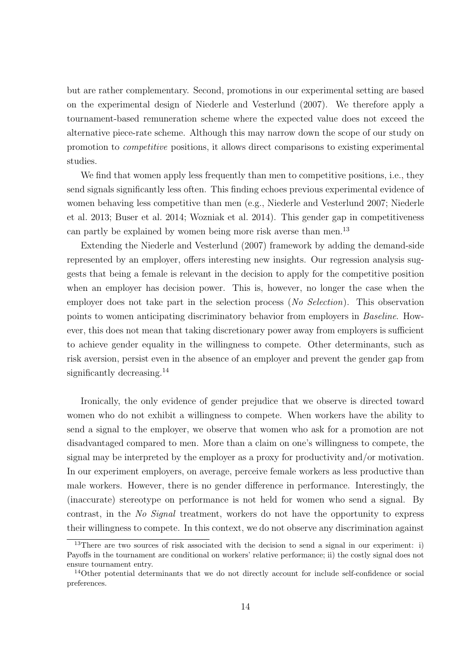but are rather complementary. Second, promotions in our experimental setting are based on the experimental design of Niederle and Vesterlund (2007). We therefore apply a tournament-based remuneration scheme where the expected value does not exceed the alternative piece-rate scheme. Although this may narrow down the scope of our study on promotion to competitive positions, it allows direct comparisons to existing experimental studies.

We find that women apply less frequently than men to competitive positions, i.e., they send signals significantly less often. This finding echoes previous experimental evidence of women behaving less competitive than men (e.g., Niederle and Vesterlund 2007; Niederle et al. 2013; Buser et al. 2014; Wozniak et al. 2014). This gender gap in competitiveness can partly be explained by women being more risk averse than men.<sup>13</sup>

Extending the Niederle and Vesterlund (2007) framework by adding the demand-side represented by an employer, offers interesting new insights. Our regression analysis suggests that being a female is relevant in the decision to apply for the competitive position when an employer has decision power. This is, however, no longer the case when the employer does not take part in the selection process (No Selection). This observation points to women anticipating discriminatory behavior from employers in Baseline. However, this does not mean that taking discretionary power away from employers is sufficient to achieve gender equality in the willingness to compete. Other determinants, such as risk aversion, persist even in the absence of an employer and prevent the gender gap from significantly decreasing.<sup>14</sup>

Ironically, the only evidence of gender prejudice that we observe is directed toward women who do not exhibit a willingness to compete. When workers have the ability to send a signal to the employer, we observe that women who ask for a promotion are not disadvantaged compared to men. More than a claim on one's willingness to compete, the signal may be interpreted by the employer as a proxy for productivity and/or motivation. In our experiment employers, on average, perceive female workers as less productive than male workers. However, there is no gender difference in performance. Interestingly, the (inaccurate) stereotype on performance is not held for women who send a signal. By contrast, in the No Signal treatment, workers do not have the opportunity to express their willingness to compete. In this context, we do not observe any discrimination against

<sup>&</sup>lt;sup>13</sup>There are two sources of risk associated with the decision to send a signal in our experiment: i) Payoffs in the tournament are conditional on workers' relative performance; ii) the costly signal does not ensure tournament entry.

<sup>14</sup>Other potential determinants that we do not directly account for include self-confidence or social preferences.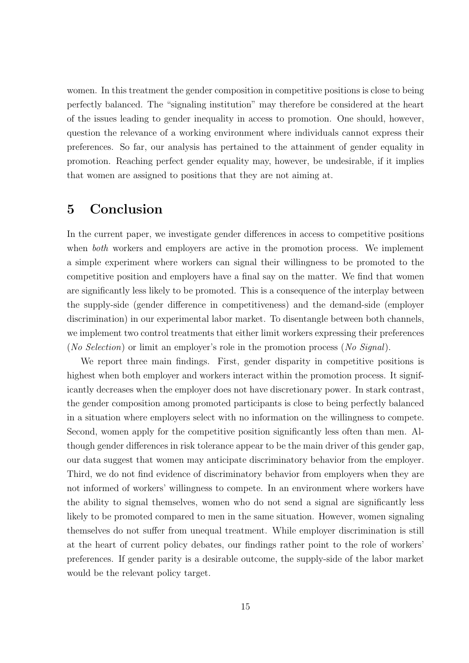women. In this treatment the gender composition in competitive positions is close to being perfectly balanced. The "signaling institution" may therefore be considered at the heart of the issues leading to gender inequality in access to promotion. One should, however, question the relevance of a working environment where individuals cannot express their preferences. So far, our analysis has pertained to the attainment of gender equality in promotion. Reaching perfect gender equality may, however, be undesirable, if it implies that women are assigned to positions that they are not aiming at.

## 5 Conclusion

In the current paper, we investigate gender differences in access to competitive positions when *both* workers and employers are active in the promotion process. We implement a simple experiment where workers can signal their willingness to be promoted to the competitive position and employers have a final say on the matter. We find that women are significantly less likely to be promoted. This is a consequence of the interplay between the supply-side (gender difference in competitiveness) and the demand-side (employer discrimination) in our experimental labor market. To disentangle between both channels, we implement two control treatments that either limit workers expressing their preferences (*No Selection*) or limit an employer's role in the promotion process (*No Signal*).

We report three main findings. First, gender disparity in competitive positions is highest when both employer and workers interact within the promotion process. It significantly decreases when the employer does not have discretionary power. In stark contrast, the gender composition among promoted participants is close to being perfectly balanced in a situation where employers select with no information on the willingness to compete. Second, women apply for the competitive position significantly less often than men. Although gender differences in risk tolerance appear to be the main driver of this gender gap, our data suggest that women may anticipate discriminatory behavior from the employer. Third, we do not find evidence of discriminatory behavior from employers when they are not informed of workers' willingness to compete. In an environment where workers have the ability to signal themselves, women who do not send a signal are significantly less likely to be promoted compared to men in the same situation. However, women signaling themselves do not suffer from unequal treatment. While employer discrimination is still at the heart of current policy debates, our findings rather point to the role of workers' preferences. If gender parity is a desirable outcome, the supply-side of the labor market would be the relevant policy target.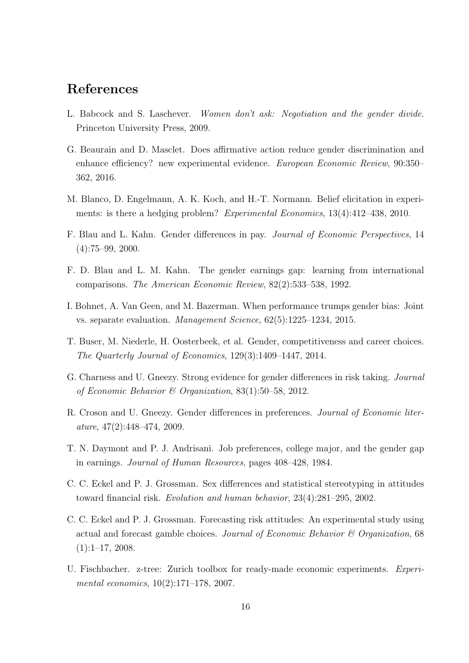## References

- L. Babcock and S. Laschever. Women don't ask: Negotiation and the gender divide. Princeton University Press, 2009.
- G. Beaurain and D. Masclet. Does affirmative action reduce gender discrimination and enhance efficiency? new experimental evidence. European Economic Review, 90:350– 362, 2016.
- M. Blanco, D. Engelmann, A. K. Koch, and H.-T. Normann. Belief elicitation in experiments: is there a hedging problem? Experimental Economics, 13(4):412–438, 2010.
- F. Blau and L. Kahn. Gender differences in pay. Journal of Economic Perspectives, 14 (4):75–99, 2000.
- F. D. Blau and L. M. Kahn. The gender earnings gap: learning from international comparisons. The American Economic Review, 82(2):533–538, 1992.
- I. Bohnet, A. Van Geen, and M. Bazerman. When performance trumps gender bias: Joint vs. separate evaluation. Management Science, 62(5):1225–1234, 2015.
- T. Buser, M. Niederle, H. Oosterbeek, et al. Gender, competitiveness and career choices. The Quarterly Journal of Economics, 129(3):1409–1447, 2014.
- G. Charness and U. Gneezy. Strong evidence for gender differences in risk taking. Journal of Economic Behavior & Organization, 83(1):50–58, 2012.
- R. Croson and U. Gneezy. Gender differences in preferences. Journal of Economic literature, 47(2):448–474, 2009.
- T. N. Daymont and P. J. Andrisani. Job preferences, college major, and the gender gap in earnings. Journal of Human Resources, pages 408–428, 1984.
- C. C. Eckel and P. J. Grossman. Sex differences and statistical stereotyping in attitudes toward financial risk. Evolution and human behavior, 23(4):281–295, 2002.
- C. C. Eckel and P. J. Grossman. Forecasting risk attitudes: An experimental study using actual and forecast gamble choices. Journal of Economic Behavior  $\mathcal B$  Organization, 68  $(1):1-17, 2008.$
- U. Fischbacher. z-tree: Zurich toolbox for ready-made economic experiments. Experimental economics, 10(2):171–178, 2007.